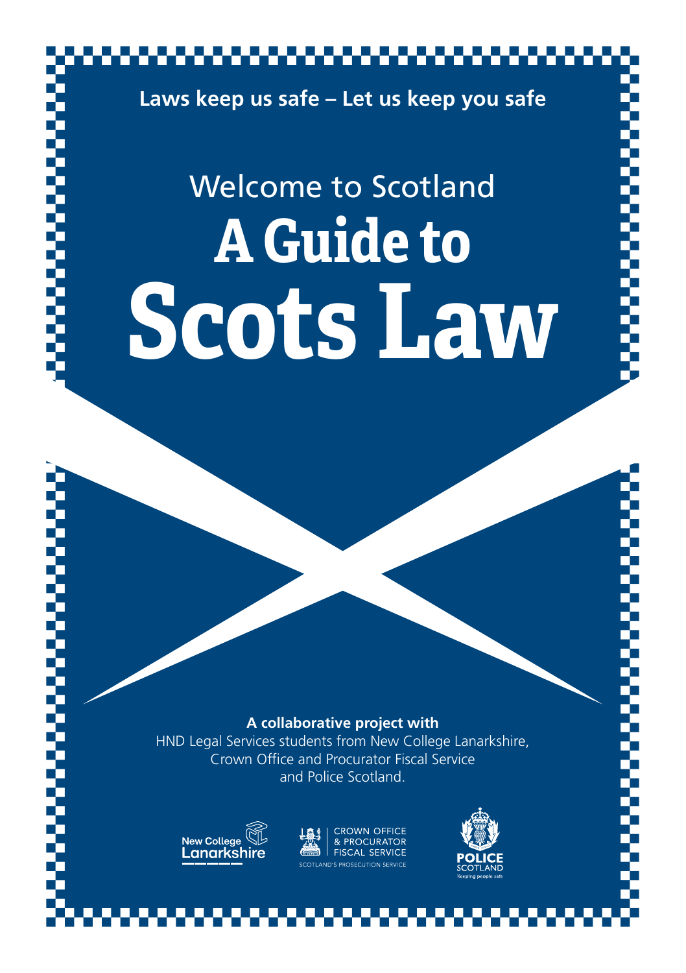

**Scots Law**

#### **A collaborative project with**

HND Legal Services students from New College Lanarkshire, Crown Office and Procurator Fiscal Service and Police Scotland.



**PROCURATOR** FISCAL SERVICE

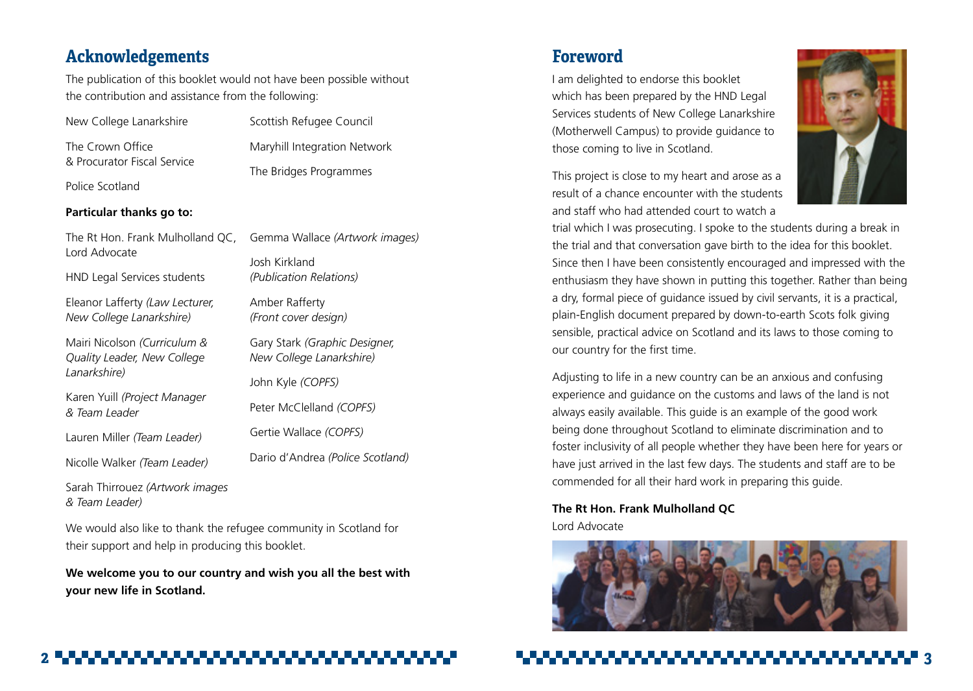# **Acknowledgements**

*& Team Leader)*

The publication of this booklet would not have been possible without the contribution and assistance from the following:

| New College Lanarkshire                                     | Scottish Refugee Council                                  |  |  |  |
|-------------------------------------------------------------|-----------------------------------------------------------|--|--|--|
| The Crown Office                                            | Maryhill Integration Network                              |  |  |  |
| & Procurator Fiscal Service                                 | The Bridges Programmes                                    |  |  |  |
| Police Scotland                                             |                                                           |  |  |  |
| Particular thanks go to:                                    |                                                           |  |  |  |
| The Rt Hon. Frank Mulholland QC,<br>Lord Advocate           | Gemma Wallace (Artwork images)                            |  |  |  |
|                                                             | Josh Kirkland                                             |  |  |  |
| HND Legal Services students                                 | (Publication Relations)                                   |  |  |  |
| Eleanor Lafferty (Law Lecturer,                             | Amber Rafferty                                            |  |  |  |
| New College Lanarkshire)                                    | (Front cover design)                                      |  |  |  |
| Mairi Nicolson (Curriculum &<br>Quality Leader, New College | Gary Stark (Graphic Designer,<br>New College Lanarkshire) |  |  |  |
| Lanarkshire)                                                | John Kyle (COPFS)                                         |  |  |  |
| Karen Yuill (Project Manager<br>& Team Leader               | Peter McClelland (COPFS)                                  |  |  |  |
| Lauren Miller (Team Leader)                                 | Gertie Wallace (COPFS)                                    |  |  |  |
| Nicolle Walker (Team Leader)                                | Dario d'Andrea (Police Scotland)                          |  |  |  |
| Sarah Thirrouez (Artwork images                             |                                                           |  |  |  |

We would also like to thank the refugee community in Scotland for their support and help in producing this booklet.

**We welcome you to our country and wish you all the best with your new life in Scotland.** 

# **Foreword**

I am delighted to endorse this booklet which has been prepared by the HND Legal Services students of New College Lanarkshire (Motherwell Campus) to provide guidance to those coming to live in Scotland.

This project is close to my heart and arose as a result of a chance encounter with the students and staff who had attended court to watch a



trial which I was prosecuting. I spoke to the students during a break in the trial and that conversation gave birth to the idea for this booklet. Since then I have been consistently encouraged and impressed with the enthusiasm they have shown in putting this together. Rather than being a dry, formal piece of guidance issued by civil servants, it is a practical, plain-English document prepared by down-to-earth Scots folk giving sensible, practical advice on Scotland and its laws to those coming to our country for the first time.

Adjusting to life in a new country can be an anxious and confusing experience and guidance on the customs and laws of the land is not always easily available. This guide is an example of the good work being done throughout Scotland to eliminate discrimination and to foster inclusivity of all people whether they have been here for years or have just arrived in the last few days. The students and staff are to be commended for all their hard work in preparing this guide.

**The Rt Hon. Frank Mulholland QC** Lord Advocate

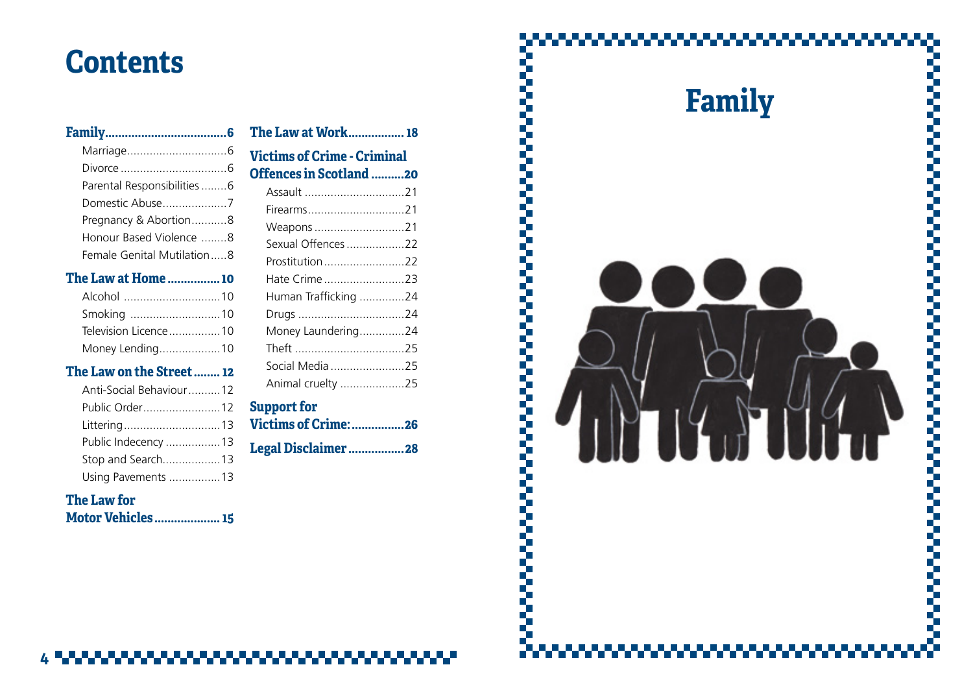# **Contents**

## **[Family.....................................](#page-3-0) 6**

| Parental Responsibilities6 |  |
|----------------------------|--|
| Domestic Abuse7            |  |
| Pregnancy & Abortion8      |  |
| Honour Based Violence 8    |  |
| Female Genital Mutilation8 |  |

# **[The Law at Home](#page-5-0) ................10**

| Smoking 10           |  |
|----------------------|--|
| Television Licence10 |  |
| Money Lending10      |  |

# **[The Law on the Street........12](#page-6-0)**

# **[The Law for](#page-7-0)**

| <b>Motor Vehicles 15</b> |  |
|--------------------------|--|
|--------------------------|--|

# **[The Law at Work.................18](#page-9-0)**

# **[Victims of Crime](#page-10-0) - [Criminal](#page-10-0)  [Offences in Scotland](#page-10-0) .......... 2 0**

| Assault 21           |  |
|----------------------|--|
| Firearms21           |  |
|                      |  |
| Sexual Offences 22   |  |
| Prostitution 22      |  |
| Hate Crime 23        |  |
| Human Trafficking 24 |  |
| Drugs 24             |  |
| Money Laundering24   |  |
|                      |  |
| Social Media 25      |  |
| Animal cruelty 25    |  |
|                      |  |

# **[Support for](#page-13-0) [Victims of Crime:................26](#page-13-0)**

**[Legal Disclaimer](#page-14-0) .................28**

# **Family** ,,,,,,,,,,,,,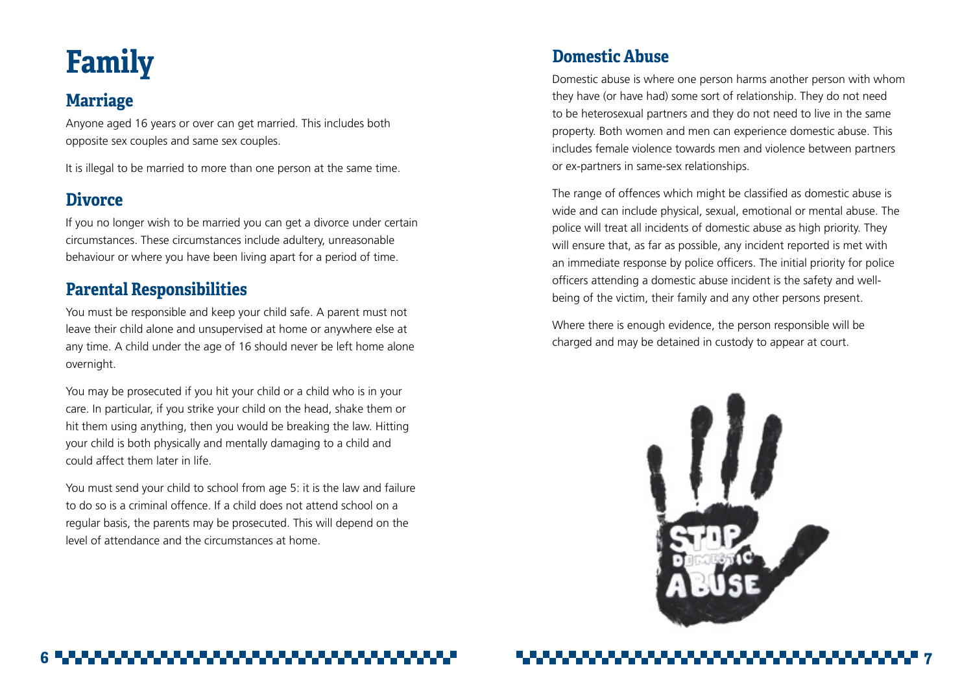# <span id="page-3-0"></span>**Family**

# **Marriage**

Anyone aged 16 years or over can get married. This includes both opposite sex couples and same sex couples.

It is illegal to be married to more than one person at the same time.

# **Divorce**

If you no longer wish to be married you can get a divorce under certain circumstances. These circumstances include adultery, unreasonable behaviour or where you have been living apart for a period of time.

# **Parental Responsibilities**

You must be responsible and keep your child safe. A parent must not leave their child alone and unsupervised at home or anywhere else at any time. A child under the age of 16 should never be left home alone overnight.

You may be prosecuted if you hit your child or a child who is in your care. In particular, if you strike your child on the head, shake them or hit them using anything, then you would be breaking the law. Hitting your child is both physically and mentally damaging to a child and could affect them later in life.

You must send your child to school from age 5: it is the law and failure to do so is a criminal offence. If a child does not attend school on a regular basis, the parents may be prosecuted. This will depend on the level of attendance and the circumstances at home.

# **Domestic Abuse**

Domestic abuse is where one person harms another person with whom they have (or have had) some sort of relationship. They do not need to be heterosexual partners and they do not need to live in the same property. Both women and men can experience domestic abuse. This includes female violence towards men and violence between partners or ex-partners in same-sex relationships.

The range of offences which might be classified as domestic abuse is wide and can include physical, sexual, emotional or mental abuse. The police will treat all incidents of domestic abuse as high priority. They will ensure that, as far as possible, any incident reported is met with an immediate response by police officers. The initial priority for police officers attending a domestic abuse incident is the safety and wellbeing of the victim, their family and any other persons present.

Where there is enough evidence, the person responsible will be charged and may be detained in custody to appear at court.

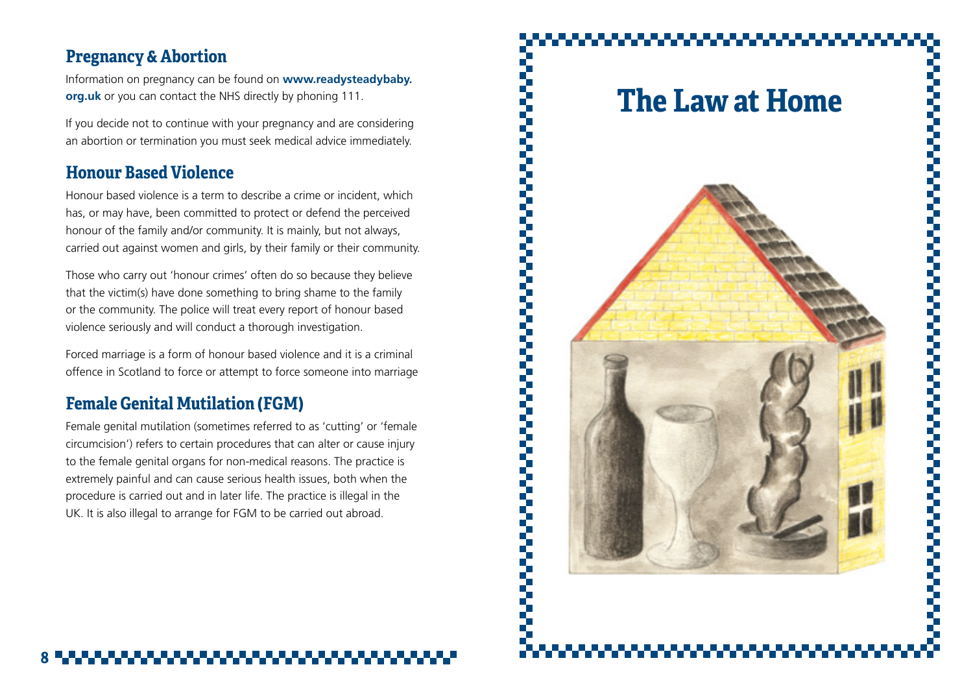# <span id="page-4-0"></span>**Pregnancy & Abortion**

Information on pregnancy can be found on **www.readysteadybaby. org.uk** or you can contact the NHS directly by phoning 111.

If you decide not to continue with your pregnancy and are considering an abortion or termination you must seek medical advice immediately.

# **Honour Based Violence**

Honour based violence is a term to describe a crime or incident, which has, or may have, been committed to protect or defend the perceived honour of the family and/or community. It is mainly, but not always, carried out against women and girls, by their family or their community.

Those who carry out 'honour crimes' often do so because they believe that the victim(s) have done something to bring shame to the family or the community. The police will treat every report of honour based violence seriously and will conduct a thorough investigation.

Forced marriage is a form of honour based violence and it is a criminal offence in Scotland to force or attempt to force someone into marriage

# **Female Genital Mutilation (FGM)**

Female genital mutilation (sometimes referred to as 'cutting' or 'female circumcision') refers to certain procedures that can alter or cause injury to the female genital organs for non-medical reasons. The practice is extremely painful and can cause serious health issues, both when the procedure is carried out and in later life. The practice is illegal in the UK. It is also illegal to arrange for FGM to be carried out abroad.

**The Law at Home**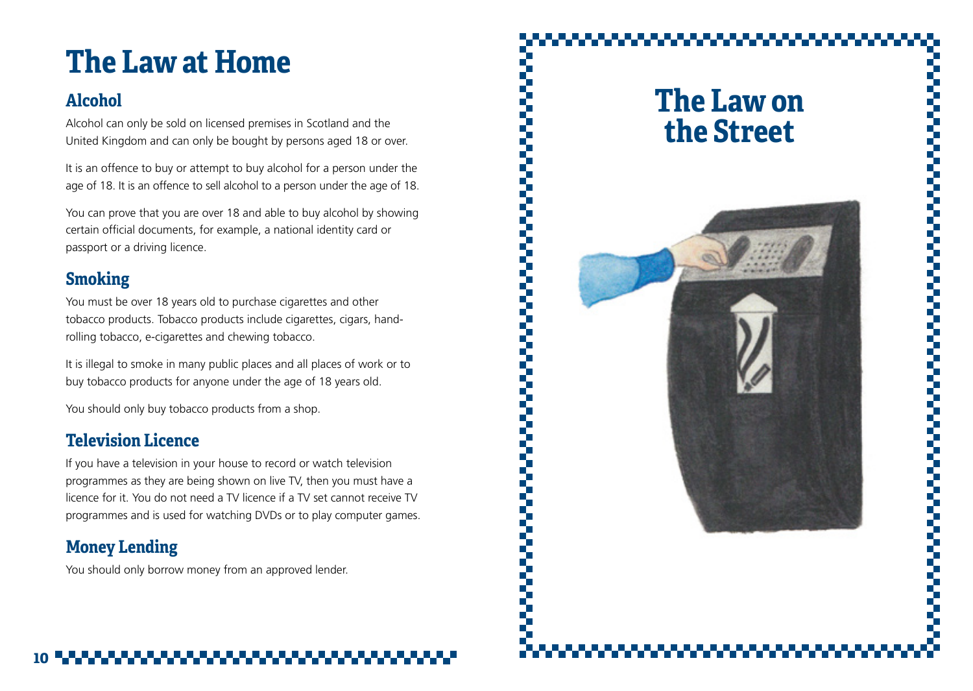# <span id="page-5-0"></span>**The Law at Home**

# **Alcohol**

Alcohol can only be sold on licensed premises in Scotland and the United Kingdom and can only be bought by persons aged 18 or over.

It is an offence to buy or attempt to buy alcohol for a person under the age of 18. It is an offence to sell alcohol to a person under the age of 18.

You can prove that you are over 18 and able to buy alcohol by showing certain official documents, for example, a national identity card or passport or a driving licence.

# **Smoking**

You must be over 18 years old to purchase cigarettes and other tobacco products. Tobacco products include cigarettes, cigars, handrolling tobacco, e-cigarettes and chewing tobacco.

It is illegal to smoke in many public places and all places of work or to buy tobacco products for anyone under the age of 18 years old.

You should only buy tobacco products from a shop.

# **Television Licence**

If you have a television in your house to record or watch television programmes as they are being shown on live TV, then you must have a licence for it. You do not need a TV licence if a TV set cannot receive TV programmes and is used for watching DVDs or to play computer games.

# **Money Lending**

You should only borrow money from an approved lender.

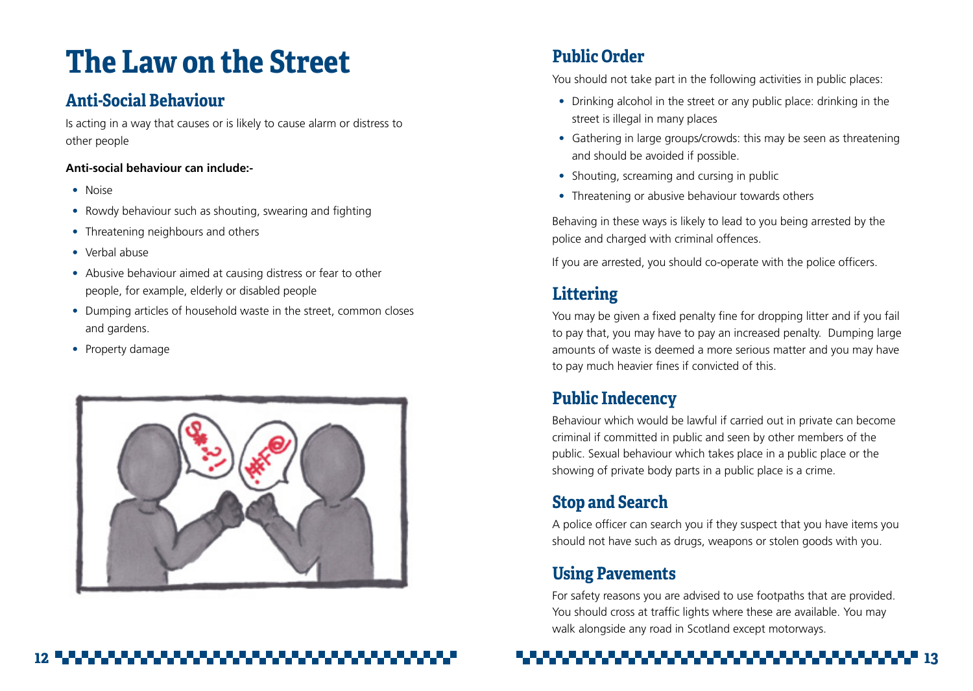# <span id="page-6-0"></span>**The Law on the Street**

# **Anti-Social Behaviour**

Is acting in a way that causes or is likely to cause alarm or distress to other people

# **Anti-social behaviour can include:-**

- Noise
- Rowdy behaviour such as shouting, swearing and fighting
- Threatening neighbours and others
- Verbal abuse
- Abusive behaviour aimed at causing distress or fear to other people, for example, elderly or disabled people
- Dumping articles of household waste in the street, common closes and gardens.
- Property damage



# **Public Order**

You should not take part in the following activities in public places:

- Drinking alcohol in the street or any public place: drinking in the street is illegal in many places
- Gathering in large groups/crowds: this may be seen as threatening and should be avoided if possible.
- Shouting, screaming and cursing in public
- Threatening or abusive behaviour towards others

Behaving in these ways is likely to lead to you being arrested by the police and charged with criminal offences.

If you are arrested, you should co-operate with the police officers.

# **Littering**

You may be given a fixed penalty fine for dropping litter and if you fail to pay that, you may have to pay an increased penalty. Dumping large amounts of waste is deemed a more serious matter and you may have to pay much heavier fines if convicted of this.

# **Public Indecency**

Behaviour which would be lawful if carried out in private can become criminal if committed in public and seen by other members of the public. Sexual behaviour which takes place in a public place or the showing of private body parts in a public place is a crime.

# **Stop and Search**

A police officer can search you if they suspect that you have items you should not have such as drugs, weapons or stolen goods with you.

# **Using Pavements**

For safety reasons you are advised to use footpaths that are provided. You should cross at traffic lights where these are available. You may walk alongside any road in Scotland except motorways.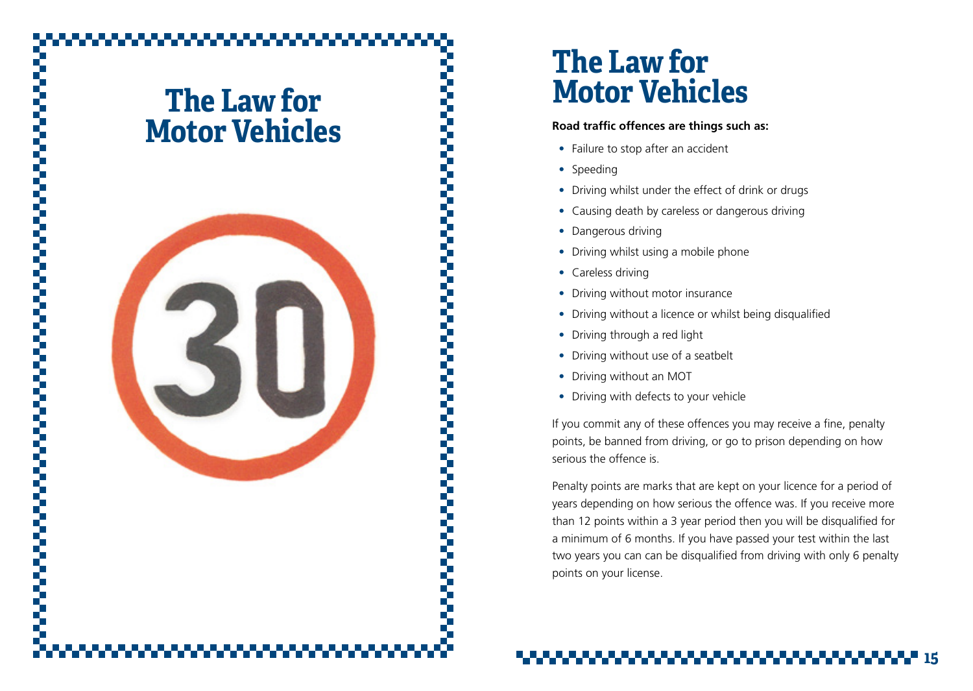# <span id="page-7-0"></span>**The Law for Motor Vehicles**



# **The Law for Motor Vehicles**

## **Road traffic offences are things such as:**

- Failure to stop after an accident
- Speeding
- Driving whilst under the effect of drink or drugs
- Causing death by careless or dangerous driving
- Dangerous driving
- Driving whilst using a mobile phone
- Careless driving
- Driving without motor insurance
- Driving without a licence or whilst being disqualified
- Driving through a red light
- Driving without use of a seatbelt
- Driving without an MOT
- Driving with defects to your vehicle

If you commit any of these offences you may receive a fine, penalty points, be banned from driving, or go to prison depending on how serious the offence is.

Penalty points are marks that are kept on your licence for a period of years depending on how serious the offence was. If you receive more than 12 points within a 3 year period then you will be disqualified for a minimum of 6 months. If you have passed your test within the last two years you can can be disqualified from driving with only 6 penalty points on your license.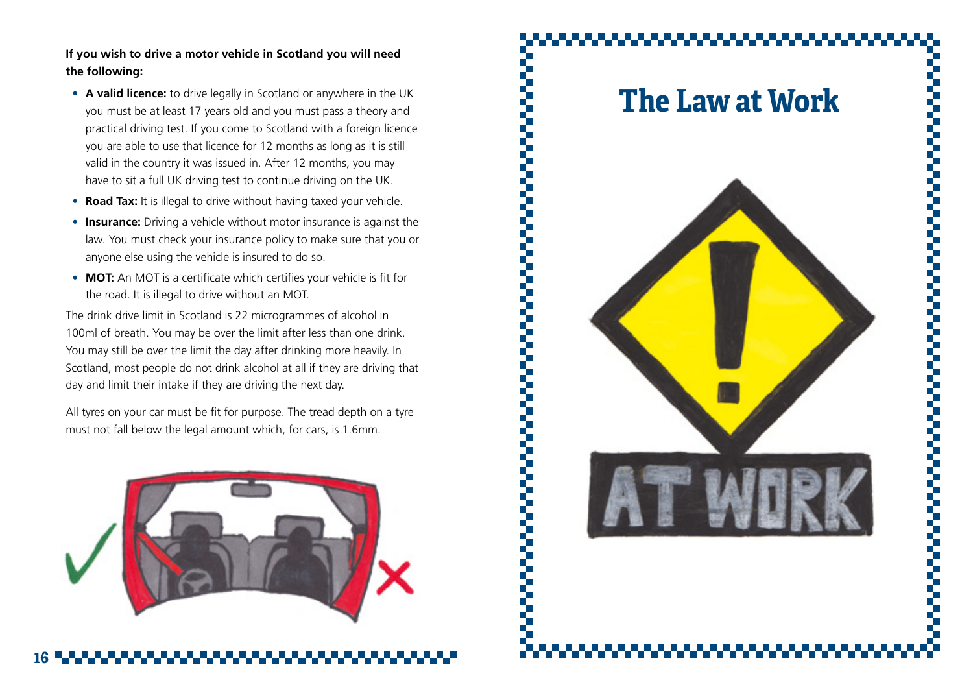**If you wish to drive a motor vehicle in Scotland you will need the following:**

- **• A valid licence:** to drive legally in Scotland or anywhere in the UK you must be at least 17 years old and you must pass a theory and practical driving test. If you come to Scotland with a foreign licence you are able to use that licence for 12 months as long as it is still valid in the country it was issued in. After 12 months, you may have to sit a full UK driving test to continue driving on the UK.
- **• Road Tax:** It is illegal to drive without having taxed your vehicle.
- **• Insurance:** Driving a vehicle without motor insurance is against the law. You must check your insurance policy to make sure that you or anyone else using the vehicle is insured to do so.
- **• MOT:** An MOT is a certificate which certifies your vehicle is fit for the road. It is illegal to drive without an MOT.

The drink drive limit in Scotland is 22 microgrammes of alcohol in 100ml of breath. You may be over the limit after less than one drink. You may still be over the limit the day after drinking more heavily. In Scotland, most people do not drink alcohol at all if they are driving that day and limit their intake if they are driving the next day.

All tyres on your car must be fit for purpose. The tread depth on a tyre must not fall below the legal amount which, for cars, is 1.6mm.



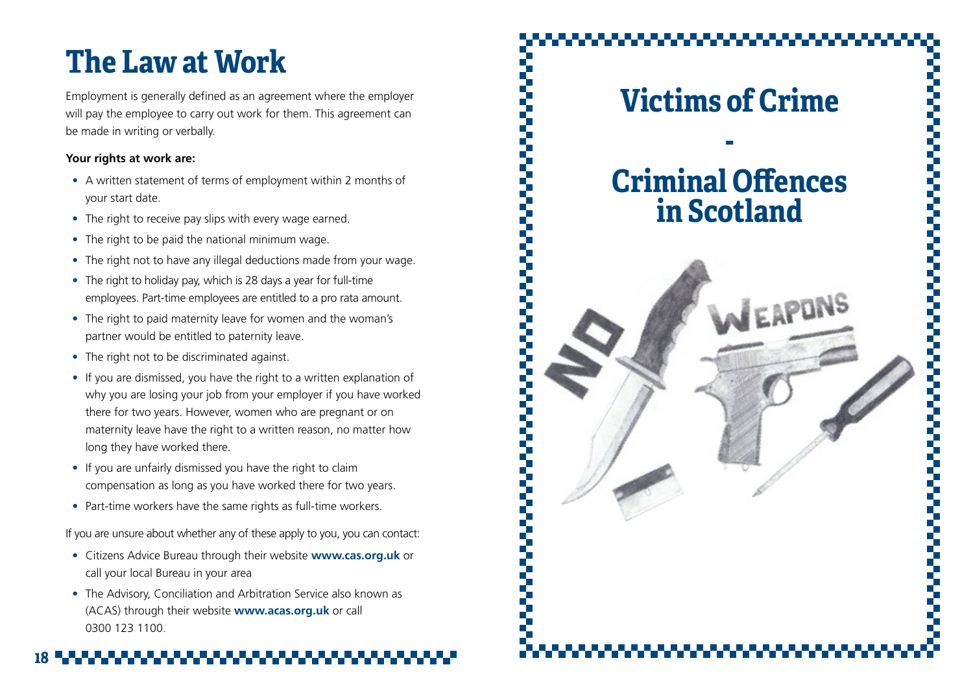# <span id="page-9-0"></span>**The Law at Work**

Employment is generally defined as an agreement where the employer will pay the employee to carry out work for them. This agreement can be made in writing or verbally.

# **Your rights at work are:**

- A written statement of terms of employment within 2 months of your start date.
- The right to receive pay slips with every wage earned.
- The right to be paid the national minimum wage.
- The right not to have any illegal deductions made from your wage.
- The right to holiday pay, which is 28 days a year for full-time employees. Part-time employees are entitled to a pro rata amount.
- The right to paid maternity leave for women and the woman's partner would be entitled to paternity leave.
- The right not to be discriminated against.
- If you are dismissed, you have the right to a written explanation of why you are losing your job from your employer if you have worked there for two years. However, women who are pregnant or on maternity leave have the right to a written reason, no matter how long they have worked there.
- If you are unfairly dismissed you have the right to claim compensation as long as you have worked there for two years.
- Part-time workers have the same rights as full-time workers.

If you are unsure about whether any of these apply to you, you can contact:

- Citizens Advice Bureau through their website **www.cas.org.uk** or call your local Bureau in your area
- The Advisory, Conciliation and Arbitration Service also known as (ACAS) through their website **www.acas.org.uk** or call 0300 123 1100.

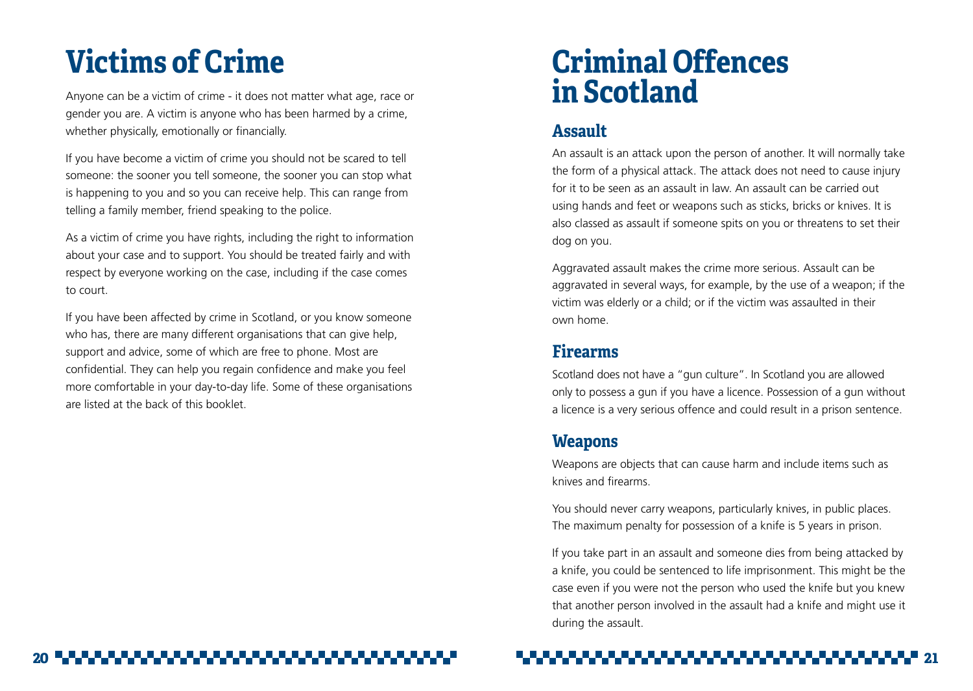# <span id="page-10-0"></span>**Victims of Crime**

Anyone can be a victim of crime - it does not matter what age, race or gender you are. A victim is anyone who has been harmed by a crime, whether physically, emotionally or financially.

If you have become a victim of crime you should not be scared to tell someone: the sooner you tell someone, the sooner you can stop what is happening to you and so you can receive help. This can range from telling a family member, friend speaking to the police.

As a victim of crime you have rights, including the right to information about your case and to support. You should be treated fairly and with respect by everyone working on the case, including if the case comes to court.

If you have been affected by crime in Scotland, or you know someone who has, there are many different organisations that can give help, support and advice, some of which are free to phone. Most are confidential. They can help you regain confidence and make you feel more comfortable in your day-to-day life. Some of these organisations are listed at the back of this booklet.

# **Criminal Offences in Scotland**

# **Assault**

An assault is an attack upon the person of another. It will normally take the form of a physical attack. The attack does not need to cause injury for it to be seen as an assault in law. An assault can be carried out using hands and feet or weapons such as sticks, bricks or knives. It is also classed as assault if someone spits on you or threatens to set their dog on you.

Aggravated assault makes the crime more serious. Assault can be aggravated in several ways, for example, by the use of a weapon; if the victim was elderly or a child; or if the victim was assaulted in their own home.

# **Firearms**

Scotland does not have a "gun culture". In Scotland you are allowed only to possess a gun if you have a licence. Possession of a gun without a licence is a very serious offence and could result in a prison sentence.

# **Weapons**

Weapons are objects that can cause harm and include items such as knives and firearms.

You should never carry weapons, particularly knives, in public places. The maximum penalty for possession of a knife is 5 years in prison.

If you take part in an assault and someone dies from being attacked by a knife, you could be sentenced to life imprisonment. This might be the case even if you were not the person who used the knife but you knew that another person involved in the assault had a knife and might use it during the assault.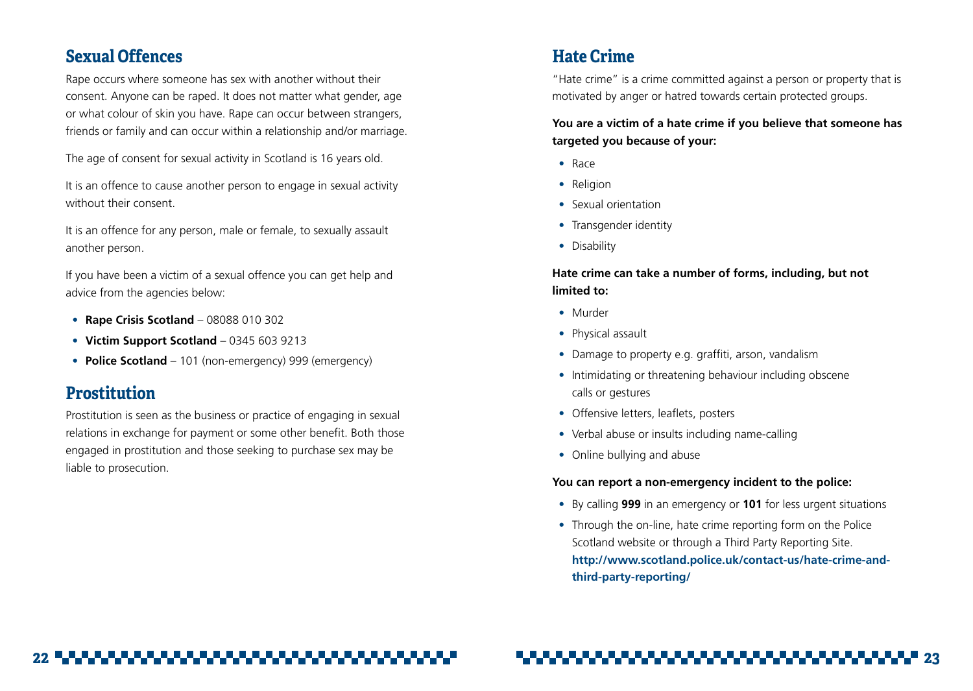# <span id="page-11-0"></span>**Sexual Offences**

Rape occurs where someone has sex with another without their consent. Anyone can be raped. It does not matter what gender, age or what colour of skin you have. Rape can occur between strangers, friends or family and can occur within a relationship and/or marriage.

The age of consent for sexual activity in Scotland is 16 years old.

It is an offence to cause another person to engage in sexual activity without their consent.

It is an offence for any person, male or female, to sexually assault another person.

If you have been a victim of a sexual offence you can get help and advice from the agencies below:

- **• Rape Crisis Scotland** 08088 010 302
- **• Victim Support Scotland** 0345 603 9213
- **• Police Scotland** 101 (non-emergency) 999 (emergency)

# **Prostitution**

Prostitution is seen as the business or practice of engaging in sexual relations in exchange for payment or some other benefit. Both those engaged in prostitution and those seeking to purchase sex may be liable to prosecution.

# **Hate Crime**

"Hate crime" is a crime committed against a person or property that is motivated by anger or hatred towards certain protected groups.

# **You are a victim of a hate crime if you believe that someone has targeted you because of your:**

- Race
- Religion
- Sexual orientation
- Transgender identity
- Disability

# **Hate crime can take a number of forms, including, but not limited to:**

- Murder
- Physical assault
- Damage to property e.g. graffiti, arson, vandalism
- Intimidating or threatening behaviour including obscene calls or gestures
- Offensive letters, leaflets, posters
- Verbal abuse or insults including name-calling
- Online bullying and abuse

## **You can report a non-emergency incident to the police:**

- By calling **999** in an emergency or **101** for less urgent situations
- Through the on-line, hate crime reporting form on the Police Scotland website or through a Third Party Reporting Site. **http://www.scotland.police.uk/contact-us/hate-crime-andthird-party-reporting/**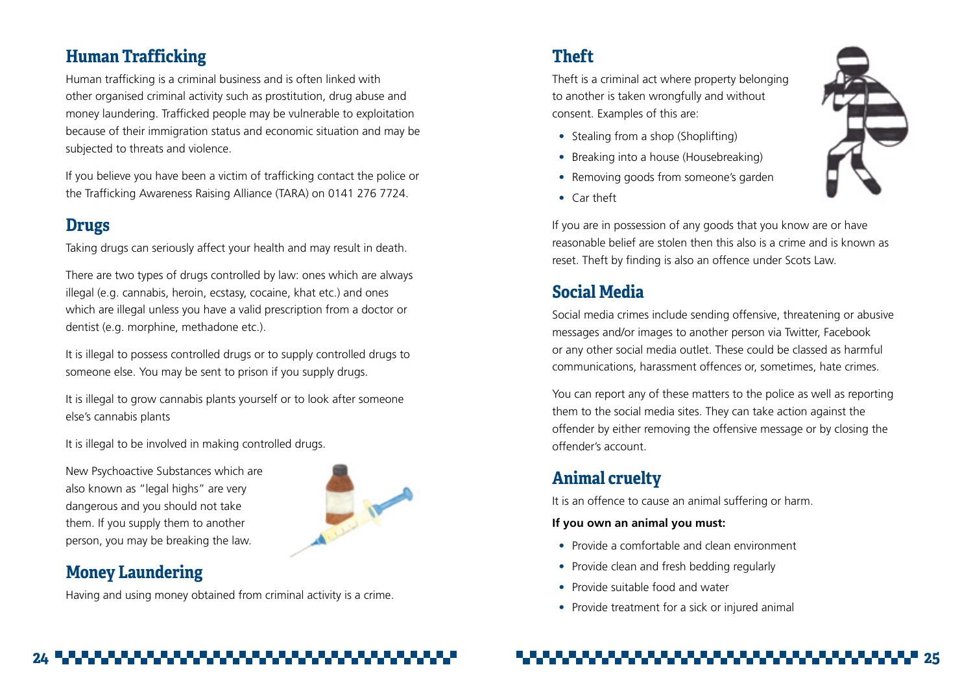# <span id="page-12-0"></span>**Human Trafficking**

Human trafficking is a criminal business and is often linked with other organised criminal activity such as prostitution, drug abuse and money laundering. Trafficked people may be vulnerable to exploitation because of their immigration status and economic situation and may be subjected to threats and violence.

If you believe you have been a victim of trafficking contact the police or the Trafficking Awareness Raising Alliance (TARA) on 0141 276 7724.

# **Drugs**

Taking drugs can seriously affect your health and may result in death.

There are two types of drugs controlled by law: ones which are always illegal (e.g. cannabis, heroin, ecstasy, cocaine, khat etc.) and ones which are illegal unless you have a valid prescription from a doctor or dentist (e.g. morphine, methadone etc.).

It is illegal to possess controlled drugs or to supply controlled drugs to someone else. You may be sent to prison if you supply drugs.

It is illegal to grow cannabis plants yourself or to look after someone else's cannabis plants

It is illegal to be involved in making controlled drugs.

New Psychoactive Substances which are also known as "legal highs" are very dangerous and you should not take them. If you supply them to another person, you may be breaking the law.



# **Money Laundering**

Having and using money obtained from criminal activity is a crime.

# **Theft**

Theft is a criminal act where property belonging to another is taken wrongfully and without consent. Examples of this are:

- Stealing from a shop (Shoplifting)
- Breaking into a house (Housebreaking)
- Removing goods from someone's garden
- Car theft

If you are in possession of any goods that you know are or have reasonable belief are stolen then this also is a crime and is known as reset. Theft by finding is also an offence under Scots Law.

# **Social Media**

Social media crimes include sending offensive, threatening or abusive messages and/or images to another person via Twitter, Facebook or any other social media outlet. These could be classed as harmful communications, harassment offences or, sometimes, hate crimes.

You can report any of these matters to the police as well as reporting them to the social media sites. They can take action against the offender by either removing the offensive message or by closing the offender's account.

# **Animal cruelty**

It is an offence to cause an animal suffering or harm.

# **If you own an animal you must:**

- Provide a comfortable and clean environment
- Provide clean and fresh bedding regularly
- Provide suitable food and water
- Provide treatment for a sick or injured animal

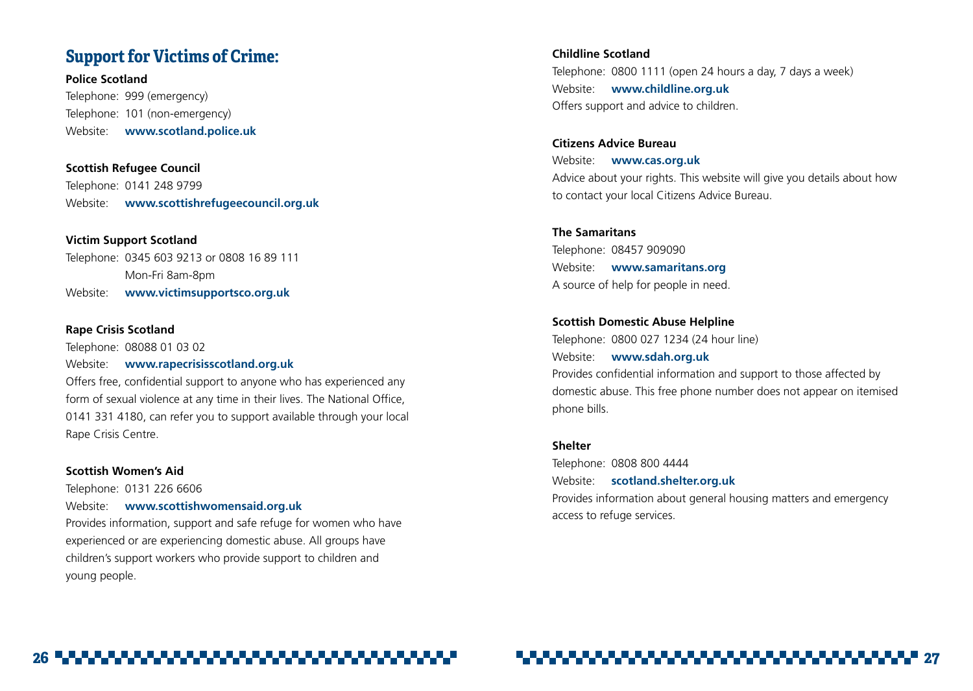# <span id="page-13-0"></span>**Support for Victims of Crime:**

**Police Scotland** Telephone: 999 (emergency) Telephone: 101 (non-emergency) Website: **www.scotland.police.uk**

**Scottish Refugee Council** Telephone: 0141 248 9799 Website: **www.scottishrefugeecouncil.org.uk**

**Victim Support Scotland** Telephone: 0345 603 9213 or 0808 16 89 111 Mon-Fri 8am-8pm Website: **www.victimsupportsco.org.uk**

#### **Rape Crisis Scotland**

Telephone: 08088 01 03 02

Website: **www.rapecrisisscotland.org.uk**

Offers free, confidential support to anyone who has experienced any form of sexual violence at any time in their lives. The National Office, 0141 331 4180, can refer you to support available through your local Rape Crisis Centre.

## **Scottish Women's Aid**

Telephone: 0131 226 6606

Website: **www.scottishwomensaid.org.uk**

Provides information, support and safe refuge for women who have experienced or are experiencing domestic abuse. All groups have children's support workers who provide support to children and young people.

**Childline Scotland** Telephone: 0800 1111 (open 24 hours a day, 7 days a week) Website: **www.childline.org.uk** Offers support and advice to children.

**Citizens Advice Bureau** Website: **www.cas.org.uk** Advice about your rights. This website will give you details about how to contact your local Citizens Advice Bureau.

## **The Samaritans**

Telephone: 08457 909090 Website: **www.samaritans.org** A source of help for people in need.

## **Scottish Domestic Abuse Helpline**

Telephone: 0800 027 1234 (24 hour line) Website: **www.sdah.org.uk** Provides confidential information and support to those affected by domestic abuse. This free phone number does not appear on itemised phone bills.

### **Shelter**

Telephone: 0808 800 4444 Website: **<scotland.shelter.org.uk>** Provides information about general housing matters and emergency access to refuge services.